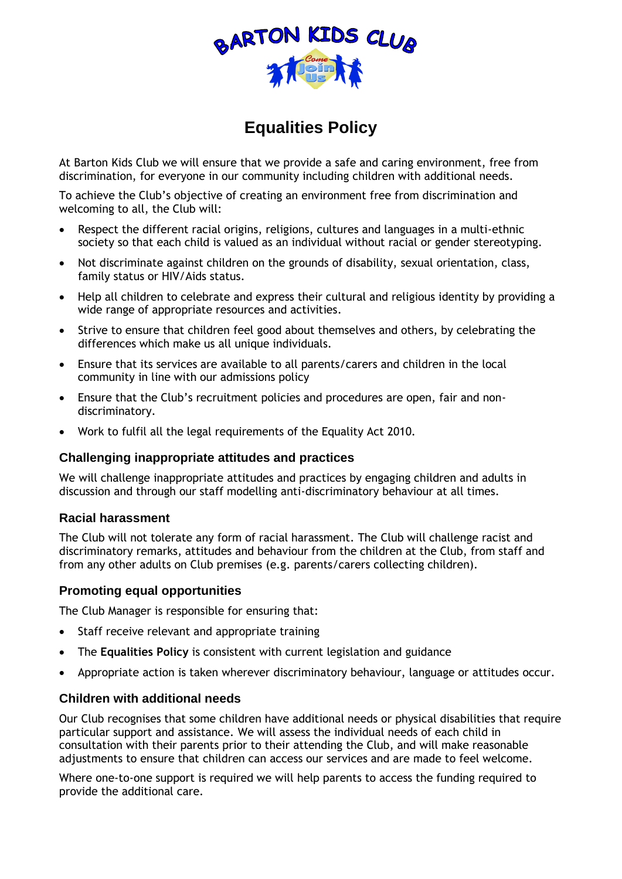

# **Equalities Policy**

At Barton Kids Club we will ensure that we provide a safe and caring environment, free from discrimination, for everyone in our community including children with additional needs.

To achieve the Club's objective of creating an environment free from discrimination and welcoming to all, the Club will:

- Respect the different racial origins, religions, cultures and languages in a multi-ethnic society so that each child is valued as an individual without racial or gender stereotyping.
- Not discriminate against children on the grounds of disability, sexual orientation, class, family status or HIV/Aids status.
- Help all children to celebrate and express their cultural and religious identity by providing a wide range of appropriate resources and activities.
- Strive to ensure that children feel good about themselves and others, by celebrating the differences which make us all unique individuals.
- Ensure that its services are available to all parents/carers and children in the local community in line with our admissions policy
- Ensure that the Club's recruitment policies and procedures are open, fair and nondiscriminatory.
- Work to fulfil all the legal requirements of the Equality Act 2010.

### **Challenging inappropriate attitudes and practices**

We will challenge inappropriate attitudes and practices by engaging children and adults in discussion and through our staff modelling anti-discriminatory behaviour at all times.

### **Racial harassment**

The Club will not tolerate any form of racial harassment. The Club will challenge racist and discriminatory remarks, attitudes and behaviour from the children at the Club, from staff and from any other adults on Club premises (e.g. parents/carers collecting children).

### **Promoting equal opportunities**

The Club Manager is responsible for ensuring that:

- Staff receive relevant and appropriate training
- The **Equalities Policy** is consistent with current legislation and guidance
- Appropriate action is taken wherever discriminatory behaviour, language or attitudes occur.

### **Children with additional needs**

Our Club recognises that some children have additional needs or physical disabilities that require particular support and assistance. We will assess the individual needs of each child in consultation with their parents prior to their attending the Club, and will make reasonable adjustments to ensure that children can access our services and are made to feel welcome.

Where one-to-one support is required we will help parents to access the funding required to provide the additional care.